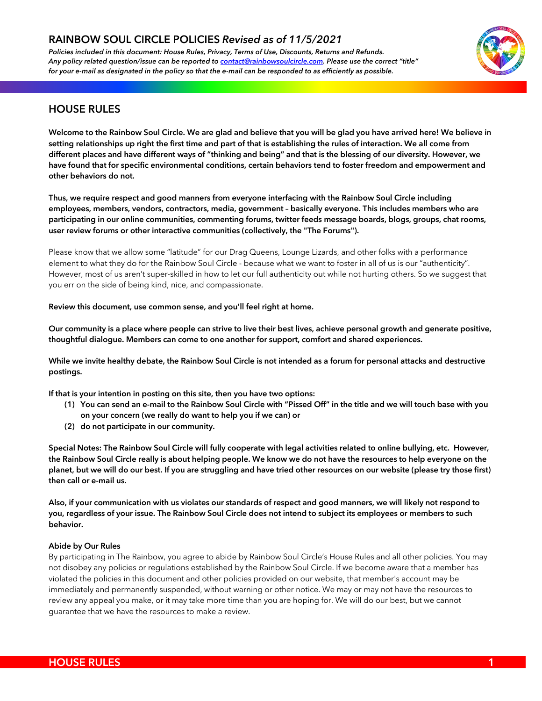*Policies included in this document: House Rules, Privacy, Terms of Use, Discounts, Returns and Refunds. Any policy related question/issue can be reported to contact@rainbowsoulcircle.com. Please use the correct "title" for your e-mail as designated in the policy so that the e-mail can be responded to as efficiently as possible.*



## **HOUSE RULES**

**Welcome to the Rainbow Soul Circle. We are glad and believe that you will be glad you have arrived here! We believe in setting relationships up right the first time and part of that is establishing the rules of interaction. We all come from different places and have different ways of "thinking and being" and that is the blessing of our diversity. However, we have found that for specific environmental conditions, certain behaviors tend to foster freedom and empowerment and other behaviors do not.**

**Thus, we require respect and good manners from everyone interfacing with the Rainbow Soul Circle including employees, members, vendors, contractors, media, government – basically everyone. This includes members who are participating in our online communities, commenting forums, twitter feeds message boards, blogs, groups, chat rooms, user review forums or other interactive communities (collectively, the "The Forums").**

Please know that we allow some "latitude" for our Drag Queens, Lounge Lizards, and other folks with a performance element to what they do for the Rainbow Soul Circle - because what we want to foster in all of us is our "authenticity". However, most of us aren't super-skilled in how to let our full authenticity out while not hurting others. So we suggest that you err on the side of being kind, nice, and compassionate.

## **Review this document, use common sense, and you'll feel right at home.**

**Our community is a place where people can strive to live their best lives, achieve personal growth and generate positive, thoughtful dialogue. Members can come to one another for support, comfort and shared experiences.** 

**While we invite healthy debate, the Rainbow Soul Circle is not intended as a forum for personal attacks and destructive postings.** 

**If that is your intention in posting on this site, then you have two options:**

- **(1) You can send an e-mail to the Rainbow Soul Circle with "Pissed Off" in the title and we will touch base with you on your concern (we really do want to help you if we can) or**
- **(2) do not participate in our community.**

**Special Notes: The Rainbow Soul Circle will fully cooperate with legal activities related to online bullying, etc. However, the Rainbow Soul Circle really is about helping people. We know we do not have the resources to help everyone on the planet, but we will do our best. If you are struggling and have tried other resources on our website (please try those first) then call or e-mail us.** 

**Also, if your communication with us violates our standards of respect and good manners, we will likely not respond to you, regardless of your issue. The Rainbow Soul Circle does not intend to subject its employees or members to such behavior.**

## **Abide by Our Rules**

By participating in The Rainbow, you agree to abide by Rainbow Soul Circle's House Rules and all other policies. You may not disobey any policies or regulations established by the Rainbow Soul Circle. If we become aware that a member has violated the policies in this document and other policies provided on our website, that member's account may be immediately and permanently suspended, without warning or other notice. We may or may not have the resources to review any appeal you make, or it may take more time than you are hoping for. We will do our best, but we cannot guarantee that we have the resources to make a review.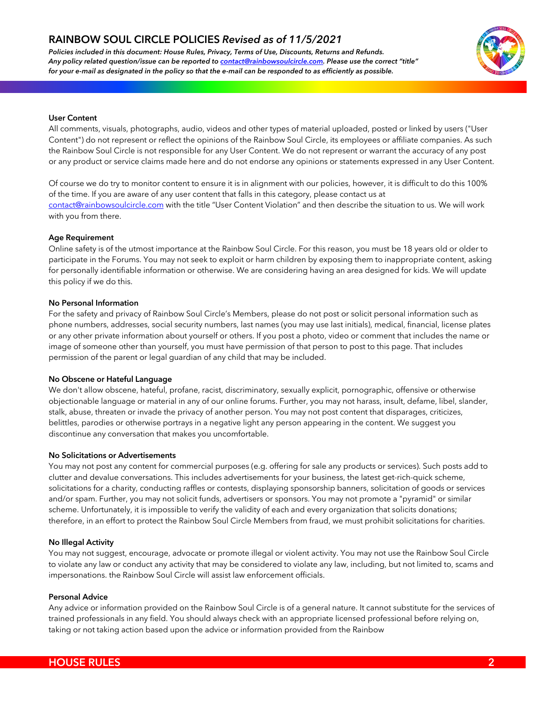*Policies included in this document: House Rules, Privacy, Terms of Use, Discounts, Returns and Refunds. Any policy related question/issue can be reported to contact@rainbowsoulcircle.com. Please use the correct "title" for your e-mail as designated in the policy so that the e-mail can be responded to as efficiently as possible.*



## **User Content**

All comments, visuals, photographs, audio, videos and other types of material uploaded, posted or linked by users ("User Content") do not represent or reflect the opinions of the Rainbow Soul Circle, its employees or affiliate companies. As such the Rainbow Soul Circle is not responsible for any User Content. We do not represent or warrant the accuracy of any post or any product or service claims made here and do not endorse any opinions or statements expressed in any User Content.

Of course we do try to monitor content to ensure it is in alignment with our policies, however, it is difficult to do this 100% of the time. If you are aware of any user content that falls in this category, please contact us at contact@rainbowsoulcircle.com with the title "User Content Violation" and then describe the situation to us. We will work with you from there.

#### **Age Requirement**

Online safety is of the utmost importance at the Rainbow Soul Circle. For this reason, you must be 18 years old or older to participate in the Forums. You may not seek to exploit or harm children by exposing them to inappropriate content, asking for personally identifiable information or otherwise. We are considering having an area designed for kids. We will update this policy if we do this.

#### **No Personal Information**

For the safety and privacy of Rainbow Soul Circle's Members, please do not post or solicit personal information such as phone numbers, addresses, social security numbers, last names (you may use last initials), medical, financial, license plates or any other private information about yourself or others. If you post a photo, video or comment that includes the name or image of someone other than yourself, you must have permission of that person to post to this page. That includes permission of the parent or legal guardian of any child that may be included.

## **No Obscene or Hateful Language**

We don't allow obscene, hateful, profane, racist, discriminatory, sexually explicit, pornographic, offensive or otherwise objectionable language or material in any of our online forums. Further, you may not harass, insult, defame, libel, slander, stalk, abuse, threaten or invade the privacy of another person. You may not post content that disparages, criticizes, belittles, parodies or otherwise portrays in a negative light any person appearing in the content. We suggest you discontinue any conversation that makes you uncomfortable.

#### **No Solicitations or Advertisements**

You may not post any content for commercial purposes (e.g. offering for sale any products or services). Such posts add to clutter and devalue conversations. This includes advertisements for your business, the latest get-rich-quick scheme, solicitations for a charity, conducting raffles or contests, displaying sponsorship banners, solicitation of goods or services and/or spam. Further, you may not solicit funds, advertisers or sponsors. You may not promote a "pyramid" or similar scheme. Unfortunately, it is impossible to verify the validity of each and every organization that solicits donations; therefore, in an effort to protect the Rainbow Soul Circle Members from fraud, we must prohibit solicitations for charities.

#### **No Illegal Activity**

You may not suggest, encourage, advocate or promote illegal or violent activity. You may not use the Rainbow Soul Circle to violate any law or conduct any activity that may be considered to violate any law, including, but not limited to, scams and impersonations. the Rainbow Soul Circle will assist law enforcement officials.

#### **Personal Advice**

Any advice or information provided on the Rainbow Soul Circle is of a general nature. It cannot substitute for the services of trained professionals in any field. You should always check with an appropriate licensed professional before relying on, taking or not taking action based upon the advice or information provided from the Rainbow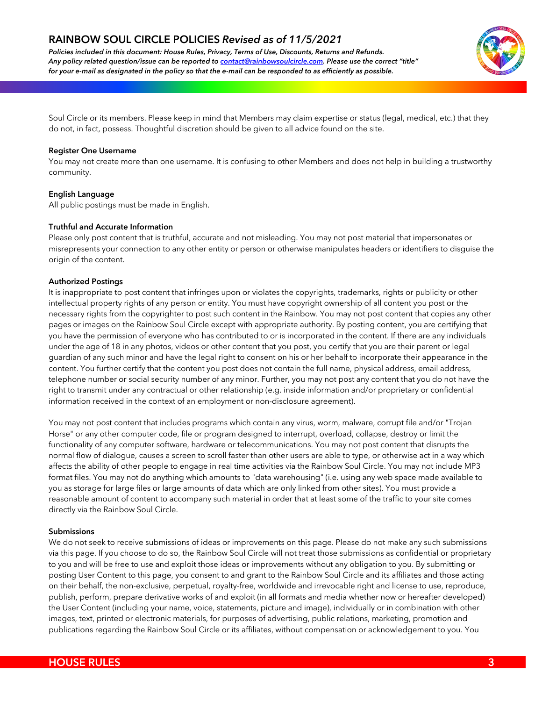*Policies included in this document: House Rules, Privacy, Terms of Use, Discounts, Returns and Refunds. Any policy related question/issue can be reported to contact@rainbowsoulcircle.com. Please use the correct "title" for your e-mail as designated in the policy so that the e-mail can be responded to as efficiently as possible.*



Soul Circle or its members. Please keep in mind that Members may claim expertise or status (legal, medical, etc.) that they do not, in fact, possess. Thoughtful discretion should be given to all advice found on the site.

#### **Register One Username**

You may not create more than one username. It is confusing to other Members and does not help in building a trustworthy community.

## **English Language**

All public postings must be made in English.

#### **Truthful and Accurate Information**

Please only post content that is truthful, accurate and not misleading. You may not post material that impersonates or misrepresents your connection to any other entity or person or otherwise manipulates headers or identifiers to disguise the origin of the content.

#### **Authorized Postings**

It is inappropriate to post content that infringes upon or violates the copyrights, trademarks, rights or publicity or other intellectual property rights of any person or entity. You must have copyright ownership of all content you post or the necessary rights from the copyrighter to post such content in the Rainbow. You may not post content that copies any other pages or images on the Rainbow Soul Circle except with appropriate authority. By posting content, you are certifying that you have the permission of everyone who has contributed to or is incorporated in the content. If there are any individuals under the age of 18 in any photos, videos or other content that you post, you certify that you are their parent or legal guardian of any such minor and have the legal right to consent on his or her behalf to incorporate their appearance in the content. You further certify that the content you post does not contain the full name, physical address, email address, telephone number or social security number of any minor. Further, you may not post any content that you do not have the right to transmit under any contractual or other relationship (e.g. inside information and/or proprietary or confidential information received in the context of an employment or non-disclosure agreement).

You may not post content that includes programs which contain any virus, worm, malware, corrupt file and/or "Trojan Horse" or any other computer code, file or program designed to interrupt, overload, collapse, destroy or limit the functionality of any computer software, hardware or telecommunications. You may not post content that disrupts the normal flow of dialogue, causes a screen to scroll faster than other users are able to type, or otherwise act in a way which affects the ability of other people to engage in real time activities via the Rainbow Soul Circle. You may not include MP3 format files. You may not do anything which amounts to "data warehousing" (i.e. using any web space made available to you as storage for large files or large amounts of data which are only linked from other sites). You must provide a reasonable amount of content to accompany such material in order that at least some of the traffic to your site comes directly via the Rainbow Soul Circle.

#### **Submissions**

We do not seek to receive submissions of ideas or improvements on this page. Please do not make any such submissions via this page. If you choose to do so, the Rainbow Soul Circle will not treat those submissions as confidential or proprietary to you and will be free to use and exploit those ideas or improvements without any obligation to you. By submitting or posting User Content to this page, you consent to and grant to the Rainbow Soul Circle and its affiliates and those acting on their behalf, the non-exclusive, perpetual, royalty-free, worldwide and irrevocable right and license to use, reproduce, publish, perform, prepare derivative works of and exploit (in all formats and media whether now or hereafter developed) the User Content (including your name, voice, statements, picture and image), individually or in combination with other images, text, printed or electronic materials, for purposes of advertising, public relations, marketing, promotion and publications regarding the Rainbow Soul Circle or its affiliates, without compensation or acknowledgement to you. You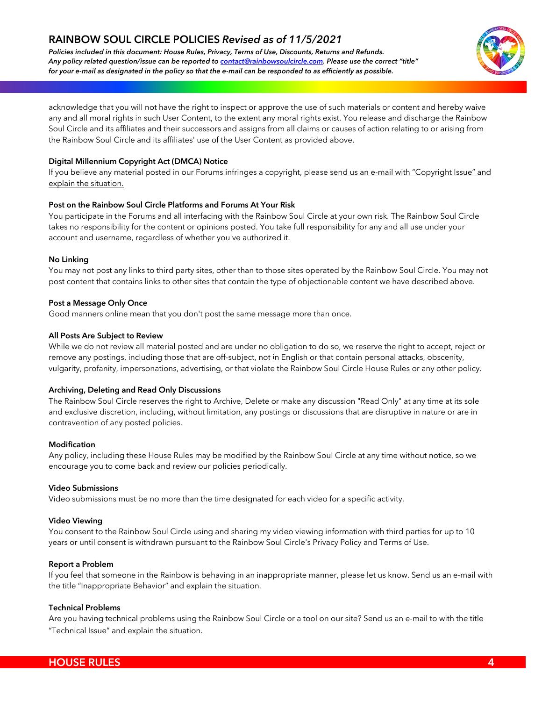*Policies included in this document: House Rules, Privacy, Terms of Use, Discounts, Returns and Refunds. Any policy related question/issue can be reported to contact@rainbowsoulcircle.com. Please use the correct "title" for your e-mail as designated in the policy so that the e-mail can be responded to as efficiently as possible.*



acknowledge that you will not have the right to inspect or approve the use of such materials or content and hereby waive any and all moral rights in such User Content, to the extent any moral rights exist. You release and discharge the Rainbow Soul Circle and its affiliates and their successors and assigns from all claims or causes of action relating to or arising from the Rainbow Soul Circle and its affiliates' use of the User Content as provided above.

## **Digital Millennium Copyright Act (DMCA) Notice**

If you believe any material posted in our Forums infringes a copyright, please send us an e-mail with "Copyright Issue" and explain the situation.

## **Post on the Rainbow Soul Circle Platforms and Forums At Your Risk**

You participate in the Forums and all interfacing with the Rainbow Soul Circle at your own risk. The Rainbow Soul Circle takes no responsibility for the content or opinions posted. You take full responsibility for any and all use under your account and username, regardless of whether you've authorized it.

## **No Linking**

You may not post any links to third party sites, other than to those sites operated by the Rainbow Soul Circle. You may not post content that contains links to other sites that contain the type of objectionable content we have described above.

## **Post a Message Only Once**

Good manners online mean that you don't post the same message more than once.

## **All Posts Are Subject to Review**

While we do not review all material posted and are under no obligation to do so, we reserve the right to accept, reject or remove any postings, including those that are off-subject, not in English or that contain personal attacks, obscenity, \_vulgarity, profanity, impersonations, advertising, or that violate the Rainbow Soul Circle House Rules or any other policy.

## **Archiving, Deleting and Read Only Discussions**

The Rainbow Soul Circle reserves the right to Archive, Delete or make any discussion "Read Only" at any time at its sole and exclusive discretion, including, without limitation, any postings or discussions that are disruptive in nature or are in contravention of any posted policies.

## **Modification**

Any policy, including these House Rules may be modified by the Rainbow Soul Circle at any time without notice, so we encourage you to come back and review our policies periodically.

## **Video Submissions**

Video submissions must be no more than the time designated for each video for a specific activity.

## **Video Viewing**

You consent to the Rainbow Soul Circle using and sharing my video viewing information with third parties for up to 10 years or until consent is withdrawn pursuant to the Rainbow Soul Circle's Privacy Policy and Terms of Use.

## **Report a Problem**

If you feel that someone in the Rainbow is behaving in an inappropriate manner, please let us know. Send us an e-mail with the title "Inappropriate Behavior" and explain the situation.

## **Technical Problems**

Are you having technical problems using the Rainbow Soul Circle or a tool on our site? Send us an e-mail to with the title "Technical Issue" and explain the situation.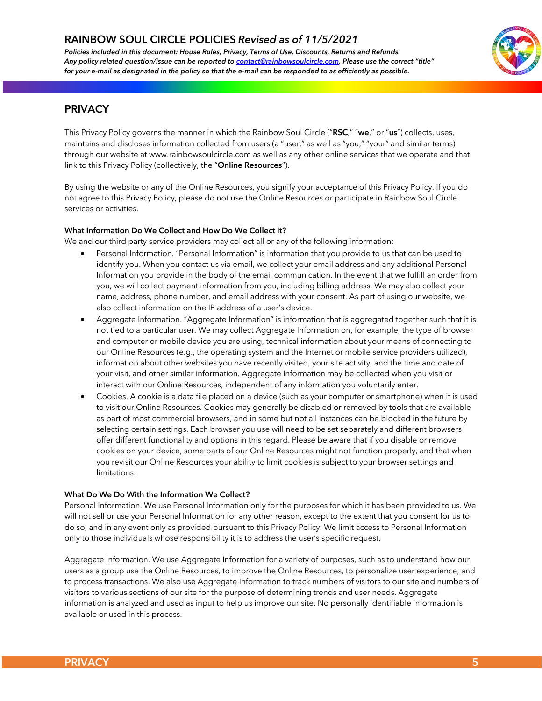*Policies included in this document: House Rules, Privacy, Terms of Use, Discounts, Returns and Refunds. Any policy related question/issue can be reported to contact@rainbowsoulcircle.com. Please use the correct "title" for your e-mail as designated in the policy so that the e-mail can be responded to as efficiently as possible.*



## **PRIVACY**

This Privacy Policy governs the manner in which the Rainbow Soul Circle ("**RSC**," "**we**," or "**us**") collects, uses, maintains and discloses information collected from users (a "user," as well as "you," "your" and similar terms) through our website at www.rainbowsoulcircle.com as well as any other online services that we operate and that link to this Privacy Policy (collectively, the "**Online Resources**").

By using the website or any of the Online Resources, you signify your acceptance of this Privacy Policy. If you do not agree to this Privacy Policy, please do not use the Online Resources or participate in Rainbow Soul Circle services or activities.

## **What Information Do We Collect and How Do We Collect It?**

We and our third party service providers may collect all or any of the following information:

- Personal Information. "Personal Information" is information that you provide to us that can be used to identify you. When you contact us via email, we collect your email address and any additional Personal Information you provide in the body of the email communication. In the event that we fulfill an order from you, we will collect payment information from you, including billing address. We may also collect your name, address, phone number, and email address with your consent. As part of using our website, we also collect information on the IP address of a user's device.
- Aggregate Information. "Aggregate Information" is information that is aggregated together such that it is not tied to a particular user. We may collect Aggregate Information on, for example, the type of browser and computer or mobile device you are using, technical information about your means of connecting to our Online Resources (e.g., the operating system and the Internet or mobile service providers utilized), \_information about other websites you have recently visited, your site activity, and the time and date of your visit, and other similar information. Aggregate Information may be collected when you visit or interact with our Online Resources, independent of any information you voluntarily enter.
- Cookies. A cookie is a data file placed on a device (such as your computer or smartphone) when it is used to visit our Online Resources. Cookies may generally be disabled or removed by tools that are available as part of most commercial browsers, and in some but not all instances can be blocked in the future by selecting certain settings. Each browser you use will need to be set separately and different browsers offer different functionality and options in this regard. Please be aware that if you disable or remove cookies on your device, some parts of our Online Resources might not function properly, and that when you revisit our Online Resources your ability to limit cookies is subject to your browser settings and limitations.

## **What Do We Do With the Information We Collect?**

Personal Information. We use Personal Information only for the purposes for which it has been provided to us. We will not sell or use your Personal Information for any other reason, except to the extent that you consent for us to do so, and in any event only as provided pursuant to this Privacy Policy. We limit access to Personal Information only to those individuals whose responsibility it is to address the user's specific request.

Aggregate Information. We use Aggregate Information for a variety of purposes, such as to understand how our users as a group use the Online Resources, to improve the Online Resources, to personalize user experience, and to process transactions. We also use Aggregate Information to track numbers of visitors to our site and numbers of visitors to various sections of our site for the purpose of determining trends and user needs. Aggregate information is analyzed and used as input to help us improve our site. No personally identifiable information is available or used in this process.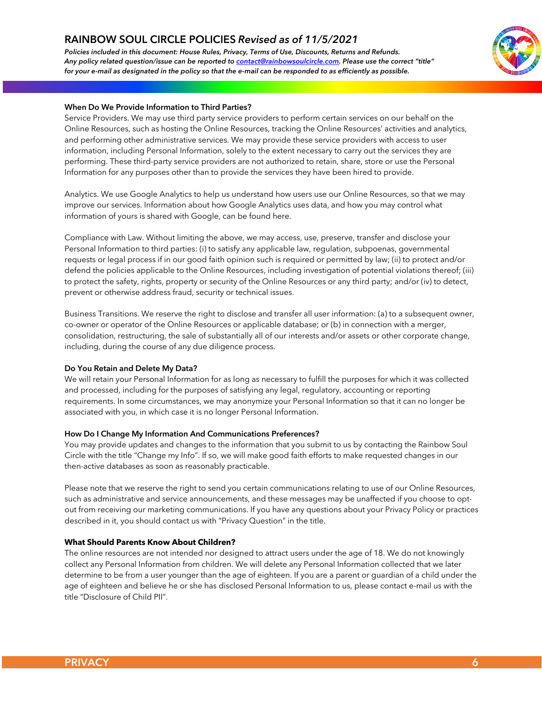*Policies included in this document: House Rules, Privacy, Terms of Use, Discounts, Returns and Refunds. Any policy related question/issue can be reported to contact@rainbowsoulcircle.com. Please use the correct "title" for your e-mail as designated in the policy so that the e-mail can be responded to as efficiently as possible.*



### **When Do We Provide Information to Third Parties?**

Service Providers. We may use third party service providers to perform certain services on our behalf on the Online Resources, such as hosting the Online Resources, tracking the Online Resources' activities and analytics, and performing other administrative services. We may provide these service providers with access to user information, including Personal Information, solely to the extent necessary to carry out the services they are performing. These third-party service providers are not authorized to retain, share, store or use the Personal Information for any purposes other than to provide the services they have been hired to provide.

Analytics. We use Google Analytics to help us understand how users use our Online Resources, so that we may improve our services. Information about how Google Analytics uses data, and how you may control what information of yours is shared with Google, can be found here.

Compliance with Law. Without limiting the above, we may access, use, preserve, transfer and disclose your Personal Information to third parties: (i) to satisfy any applicable law, regulation, subpoenas, governmental requests or legal process if in our good faith opinion such is required or permitted by law; (ii) to protect and/or defend the policies applicable to the Online Resources, including investigation of potential violations thereof; (iii) to protect the safety, rights, property or security of the Online Resources or any third party; and/or (iv) to detect, prevent or otherwise address fraud, security or technical issues.

Business Transitions. We reserve the right to disclose and transfer all user information: (a) to a subsequent owner, co-owner or operator of the Online Resources or applicable database; or (b) in connection with a merger, consolidation, restructuring, the sale of substantially all of our interests and/or assets or other corporate change, including, during the course of any due diligence process.

#### **Do You Retain and Delete My Data?**

We will retain your Personal Information for as long as necessary to fulfill the purposes for which it was collected and processed, including for the purposes of satisfying any legal, regulatory, accounting or reporting requirements. In some circumstances, we may anonymize your Personal Information so that it can no longer be associated with you, in which case it is no longer Personal Information.

#### **How Do I Change My Information And Communications Preferences?**

You may provide updates and changes to the information that you submit to us by contacting the Rainbow Soul Circle with the title "Change my Info". If so, we will make good faith efforts to make requested changes in our then-active databases as soon as reasonably practicable.

Please note that we reserve the right to send you certain communications relating to use of our Online Resources, such as administrative and service announcements, and these messages may be unaffected if you choose to optout from receiving our marketing communications. If you have any questions about your Privacy Policy or practices described in it, you should contact us with "Privacy Question" in the title.

## **What Should Parents Know About Children?**

The online resources are not intended nor designed to attract users under the age of 18. We do not knowingly collect any Personal Information from children. We will delete any Personal Information collected that we later determine to be from a user younger than the age of eighteen. If you are a parent or guardian of a child under the age of eighteen and believe he or she has disclosed Personal Information to us, please contact e-mail us with the title "Disclosure of Child PII".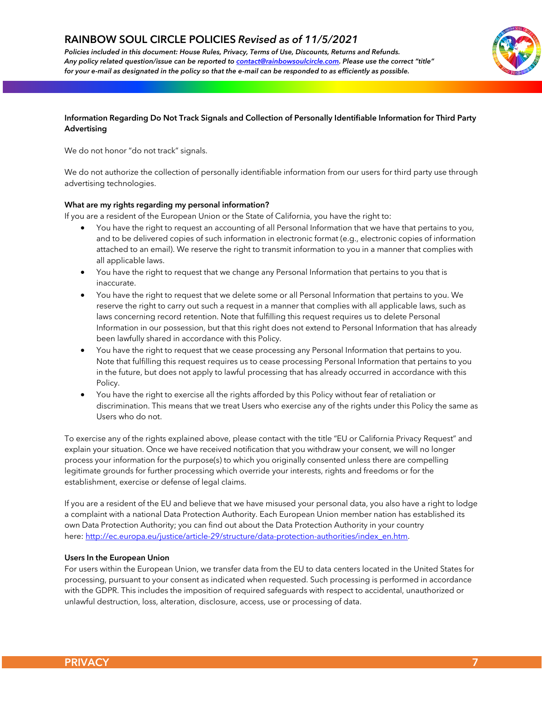*Policies included in this document: House Rules, Privacy, Terms of Use, Discounts, Returns and Refunds. Any policy related question/issue can be reported to contact@rainbowsoulcircle.com. Please use the correct "title" for your e-mail as designated in the policy so that the e-mail can be responded to as efficiently as possible.*



## **Information Regarding Do Not Track Signals and Collection of Personally Identifiable Information for Third Party Advertising**

We do not honor "do not track" signals.

We do not authorize the collection of personally identifiable information from our users for third party use through advertising technologies.

## **What are my rights regarding my personal information?**

If you are a resident of the European Union or the State of California, you have the right to:

- You have the right to request an accounting of all Personal Information that we have that pertains to you, and to be delivered copies of such information in electronic format (e.g., electronic copies of information attached to an email). We reserve the right to transmit information to you in a manner that complies with all applicable laws.
- You have the right to request that we change any Personal Information that pertains to you that is inaccurate.
- You have the right to request that we delete some or all Personal Information that pertains to you. We reserve the right to carry out such a request in a manner that complies with all applicable laws, such as laws concerning record retention. Note that fulfilling this request requires us to delete Personal Information in our possession, but that this right does not extend to Personal Information that has already been lawfully shared in accordance with this Policy.
- You have the right to request that we cease processing any Personal Information that pertains to you.<br>
Note that fulfilling this request persisce us to easie processing Personal Information that pertains to you. Note that fulfilling this request requires us to cease processing Personal Information that pertains to you in the future, but does not apply to lawful processing that has already occurred in accordance with this Policy.
- You have the right to exercise all the rights afforded by this Policy without fear of retaliation or discrimination. This means that we treat Users who exercise any of the rights under this Policy the same as Users who do not.

To exercise any of the rights explained above, please contact with the title "EU or California Privacy Request" and explain your situation. Once we have received notification that you withdraw your consent, we will no longer process your information for the purpose(s) to which you originally consented unless there are compelling legitimate grounds for further processing which override your interests, rights and freedoms or for the establishment, exercise or defense of legal claims.

If you are a resident of the EU and believe that we have misused your personal data, you also have a right to lodge a complaint with a national Data Protection Authority. Each European Union member nation has established its own Data Protection Authority; you can find out about the Data Protection Authority in your country here: http://ec.europa.eu/justice/article-29/structure/data-protection-authorities/index\_en.htm.

#### **Users In the European Union**

For users within the European Union, we transfer data from the EU to data centers located in the United States for processing, pursuant to your consent as indicated when requested. Such processing is performed in accordance with the GDPR. This includes the imposition of required safeguards with respect to accidental, unauthorized or unlawful destruction, loss, alteration, disclosure, access, use or processing of data.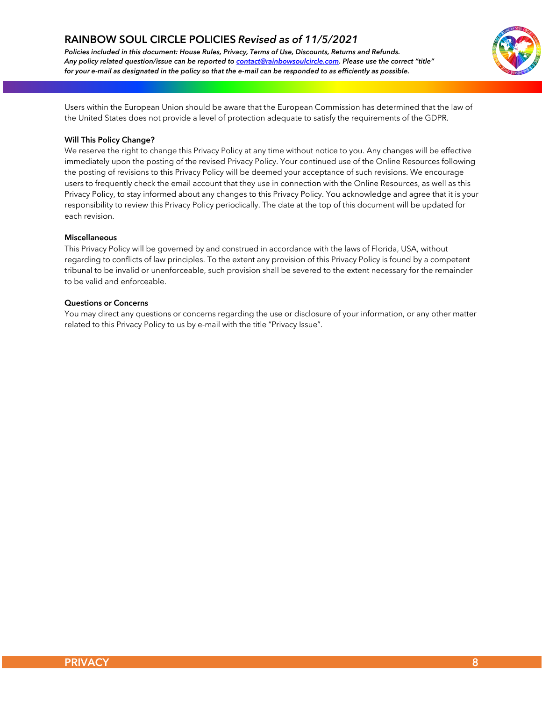*Policies included in this document: House Rules, Privacy, Terms of Use, Discounts, Returns and Refunds. Any policy related question/issue can be reported to contact@rainbowsoulcircle.com. Please use the correct "title" for your e-mail as designated in the policy so that the e-mail can be responded to as efficiently as possible.*



Users within the European Union should be aware that the European Commission has determined that the law of the United States does not provide a level of protection adequate to satisfy the requirements of the GDPR.

### **Will This Policy Change?**

We reserve the right to change this Privacy Policy at any time without notice to you. Any changes will be effective immediately upon the posting of the revised Privacy Policy. Your continued use of the Online Resources following the posting of revisions to this Privacy Policy will be deemed your acceptance of such revisions. We encourage users to frequently check the email account that they use in connection with the Online Resources, as well as this Privacy Policy, to stay informed about any changes to this Privacy Policy. You acknowledge and agree that it is your responsibility to review this Privacy Policy periodically. The date at the top of this document will be updated for each revision.

#### **Miscellaneous**

This Privacy Policy will be governed by and construed in accordance with the laws of Florida, USA, without regarding to conflicts of law principles. To the extent any provision of this Privacy Policy is found by a competent tribunal to be invalid or unenforceable, such provision shall be severed to the extent necessary for the remainder to be valid and enforceable.

## **Questions or Concerns**

You may direct any questions or concerns regarding the use or disclosure of your information, or any other matter related to this Privacy Policy to us by e-mail with the title "Privacy Issue".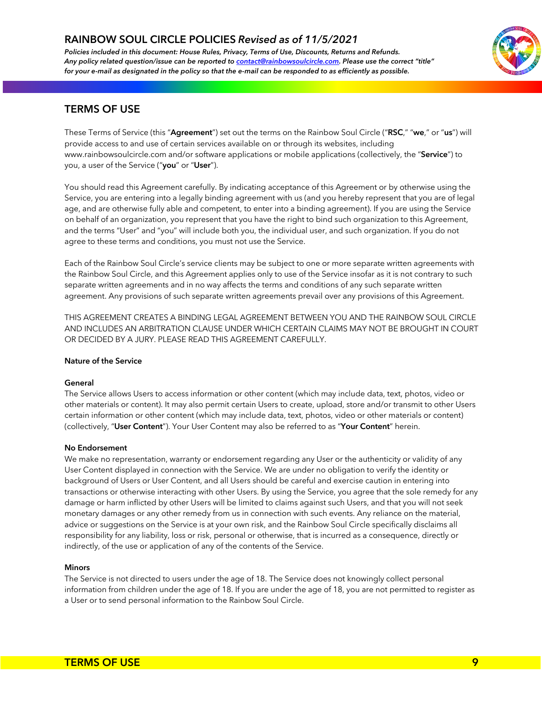*Policies included in this document: House Rules, Privacy, Terms of Use, Discounts, Returns and Refunds. Any policy related question/issue can be reported to contact@rainbowsoulcircle.com. Please use the correct "title" for your e-mail as designated in the policy so that the e-mail can be responded to as efficiently as possible.*



## **TERMS OF USE**

These Terms of Service (this "**Agreement**") set out the terms on the Rainbow Soul Circle ("**RSC**," "**we**," or "**us**") will provide access to and use of certain services available on or through its websites, including www.rainbowsoulcircle.com and/or software applications or mobile applications (collectively, the "**Service**") to you, a user of the Service ("**you**" or "**User**").

You should read this Agreement carefully. By indicating acceptance of this Agreement or by otherwise using the Service, you are entering into a legally binding agreement with us (and you hereby represent that you are of legal age, and are otherwise fully able and competent, to enter into a binding agreement). If you are using the Service on behalf of an organization, you represent that you have the right to bind such organization to this Agreement, and the terms "User" and "you" will include both you, the individual user, and such organization. If you do not agree to these terms and conditions, you must not use the Service.

Each of the Rainbow Soul Circle's service clients may be subject to one or more separate written agreements with the Rainbow Soul Circle, and this Agreement applies only to use of the Service insofar as it is not contrary to such separate written agreements and in no way affects the terms and conditions of any such separate written agreement. Any provisions of such separate written agreements prevail over any provisions of this Agreement.

THIS AGREEMENT CREATES A BINDING LEGAL AGREEMENT BETWEEN YOU AND THE RAINBOW SOUL CIRCLE AND INCLUDES AN ARBITRATION CLAUSE UNDER WHICH CERTAIN CLAIMS MAY NOT BE BROUGHT IN COURT OR DECIDED BY A JURY. PLEASE READ THIS AGREEMENT CAREFULLY.

#### **Nature of the Service**

#### **General**

The Service allows Users to access information or other content (which may include data, text, photos, video or other materials or content). It may also permit certain Users to create, upload, store and/or transmit to other Users certain information or other content (which may include data, text, photos, video or other materials or content) (collectively, "**User Content**"). Your User Content may also be referred to as "**Your Content**" herein.

#### **No Endorsement**

We make no representation, warranty or endorsement regarding any User or the authenticity or validity of any User Content displayed in connection with the Service. We are under no obligation to verify the identity or background of Users or User Content, and all Users should be careful and exercise caution in entering into transactions or otherwise interacting with other Users. By using the Service, you agree that the sole remedy for any damage or harm inflicted by other Users will be limited to claims against such Users, and that you will not seek monetary damages or any other remedy from us in connection with such events. Any reliance on the material, advice or suggestions on the Service is at your own risk, and the Rainbow Soul Circle specifically disclaims all responsibility for any liability, loss or risk, personal or otherwise, that is incurred as a consequence, directly or indirectly, of the use or application of any of the contents of the Service.

#### **Minors**

The Service is not directed to users under the age of 18. The Service does not knowingly collect personal information from children under the age of 18. If you are under the age of 18, you are not permitted to register as a User or to send personal information to the Rainbow Soul Circle.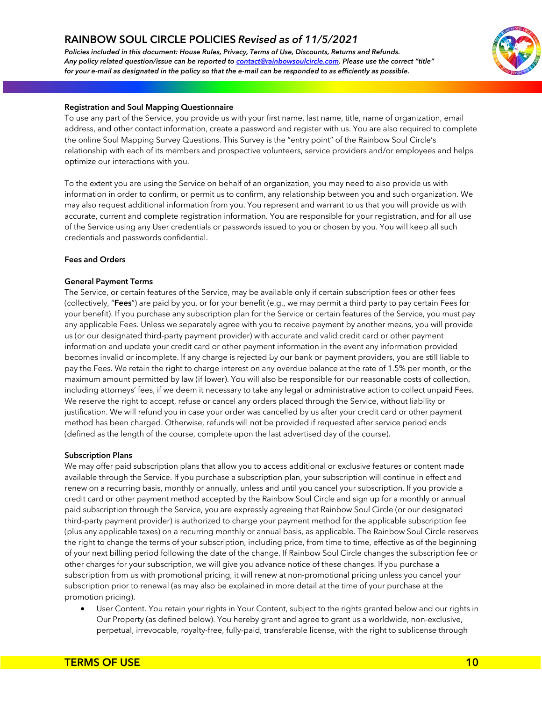*Policies included in this document: House Rules, Privacy, Terms of Use, Discounts, Returns and Refunds. Any policy related question/issue can be reported to contact@rainbowsoulcircle.com. Please use the correct "title" for your e-mail as designated in the policy so that the e-mail can be responded to as efficiently as possible.*



## **Registration and Soul Mapping Questionnaire**

To use any part of the Service, you provide us with your first name, last name, title, name of organization, email address, and other contact information, create a password and register with us. You are also required to complete the online Soul Mapping Survey Questions. This Survey is the "entry point" of the Rainbow Soul Circle's relationship with each of its members and prospective volunteers, service providers and/or employees and helps optimize our interactions with you.

To the extent you are using the Service on behalf of an organization, you may need to also provide us with information in order to confirm, or permit us to confirm, any relationship between you and such organization. We may also request additional information from you. You represent and warrant to us that you will provide us with accurate, current and complete registration information. You are responsible for your registration, and for all use of the Service using any User credentials or passwords issued to you or chosen by you. You will keep all such credentials and passwords confidential.

#### **Fees and Orders**

#### **General Payment Terms**

The Service, or certain features of the Service, may be available only if certain subscription fees or other fees (collectively, "**Fees**") are paid by you, or for your benefit (e.g., we may permit a third party to pay certain Fees for your benefit). If you purchase any subscription plan for the Service or certain features of the Service, you must pay any applicable Fees. Unless we separately agree with you to receive payment by another means, you will provide us (or our designated third-party payment provider) with accurate and valid credit card or other payment information and update your credit card or other payment information in the event any information provided \_becomes invalid or incomplete. If any charge is rejected by our bank or payment providers, you are still liable to pay the Fees. We retain the right to charge interest on any overdue balance at the rate of 1.5% per month, or the maximum amount permitted by law (if lower). You will also be responsible for our reasonable costs of collection, including attorneys' fees, if we deem it necessary to take any legal or administrative action to collect unpaid Fees. We reserve the right to accept, refuse or cancel any orders placed through the Service, without liability or justification. We will refund you in case your order was cancelled by us after your credit card or other payment method has been charged. Otherwise, refunds will not be provided if requested after service period ends (defined as the length of the course, complete upon the last advertised day of the course).

#### **Subscription Plans**

We may offer paid subscription plans that allow you to access additional or exclusive features or content made available through the Service. If you purchase a subscription plan, your subscription will continue in effect and renew on a recurring basis, monthly or annually, unless and until you cancel your subscription. If you provide a credit card or other payment method accepted by the Rainbow Soul Circle and sign up for a monthly or annual paid subscription through the Service, you are expressly agreeing that Rainbow Soul Circle (or our designated third-party payment provider) is authorized to charge your payment method for the applicable subscription fee (plus any applicable taxes) on a recurring monthly or annual basis, as applicable. The Rainbow Soul Circle reserves the right to change the terms of your subscription, including price, from time to time, effective as of the beginning of your next billing period following the date of the change. If Rainbow Soul Circle changes the subscription fee or other charges for your subscription, we will give you advance notice of these changes. If you purchase a subscription from us with promotional pricing, it will renew at non-promotional pricing unless you cancel your subscription prior to renewal (as may also be explained in more detail at the time of your purchase at the promotion pricing).

• User Content. You retain your rights in Your Content, subject to the rights granted below and our rights in Our Property (as defined below). You hereby grant and agree to grant us a worldwide, non-exclusive, perpetual, irrevocable, royalty-free, fully-paid, transferable license, with the right to sublicense through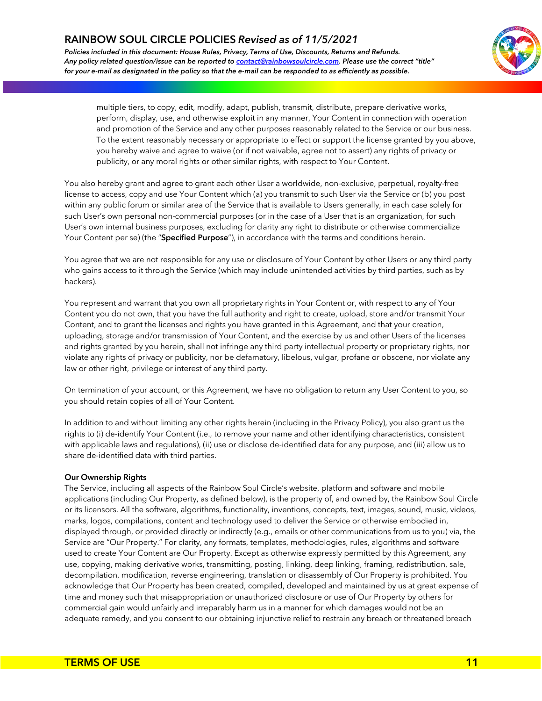*Policies included in this document: House Rules, Privacy, Terms of Use, Discounts, Returns and Refunds. Any policy related question/issue can be reported to contact@rainbowsoulcircle.com. Please use the correct "title" for your e-mail as designated in the policy so that the e-mail can be responded to as efficiently as possible.*



multiple tiers, to copy, edit, modify, adapt, publish, transmit, distribute, prepare derivative works, perform, display, use, and otherwise exploit in any manner, Your Content in connection with operation and promotion of the Service and any other purposes reasonably related to the Service or our business. To the extent reasonably necessary or appropriate to effect or support the license granted by you above, you hereby waive and agree to waive (or if not waivable, agree not to assert) any rights of privacy or publicity, or any moral rights or other similar rights, with respect to Your Content.

You also hereby grant and agree to grant each other User a worldwide, non-exclusive, perpetual, royalty-free license to access, copy and use Your Content which (a) you transmit to such User via the Service or (b) you post within any public forum or similar area of the Service that is available to Users generally, in each case solely for such User's own personal non-commercial purposes (or in the case of a User that is an organization, for such User's own internal business purposes, excluding for clarity any right to distribute or otherwise commercialize Your Content per se) (the "**Specified Purpose**"), in accordance with the terms and conditions herein.

You agree that we are not responsible for any use or disclosure of Your Content by other Users or any third party who gains access to it through the Service (which may include unintended activities by third parties, such as by hackers).

You represent and warrant that you own all proprietary rights in Your Content or, with respect to any of Your Content you do not own, that you have the full authority and right to create, upload, store and/or transmit Your Content, and to grant the licenses and rights you have granted in this Agreement, and that your creation, uploading, storage and/or transmission of Your Content, and the exercise by us and other Users of the licenses and rights granted by you herein, shall not infringe any third party intellectual property or proprietary rights, nor and rights granted by you nerem, shall not infillige any third party intellectual property or proprietary rights, nor<br>violate any rights of privacy or publicity, nor be defamatory, libelous, vulgar, profane or obscene, nor law or other right, privilege or interest of any third party.

On termination of your account, or this Agreement, we have no obligation to return any User Content to you, so you should retain copies of all of Your Content.

In addition to and without limiting any other rights herein (including in the Privacy Policy), you also grant us the rights to (i) de-identify Your Content (i.e., to remove your name and other identifying characteristics, consistent with applicable laws and regulations), (ii) use or disclose de-identified data for any purpose, and (iii) allow us to share de-identified data with third parties.

## **Our Ownership Rights**

The Service, including all aspects of the Rainbow Soul Circle's website, platform and software and mobile applications (including Our Property, as defined below), is the property of, and owned by, the Rainbow Soul Circle or its licensors. All the software, algorithms, functionality, inventions, concepts, text, images, sound, music, videos, marks, logos, compilations, content and technology used to deliver the Service or otherwise embodied in, displayed through, or provided directly or indirectly (e.g., emails or other communications from us to you) via, the Service are "Our Property." For clarity, any formats, templates, methodologies, rules, algorithms and software used to create Your Content are Our Property. Except as otherwise expressly permitted by this Agreement, any use, copying, making derivative works, transmitting, posting, linking, deep linking, framing, redistribution, sale, decompilation, modification, reverse engineering, translation or disassembly of Our Property is prohibited. You acknowledge that Our Property has been created, compiled, developed and maintained by us at great expense of time and money such that misappropriation or unauthorized disclosure or use of Our Property by others for commercial gain would unfairly and irreparably harm us in a manner for which damages would not be an adequate remedy, and you consent to our obtaining injunctive relief to restrain any breach or threatened breach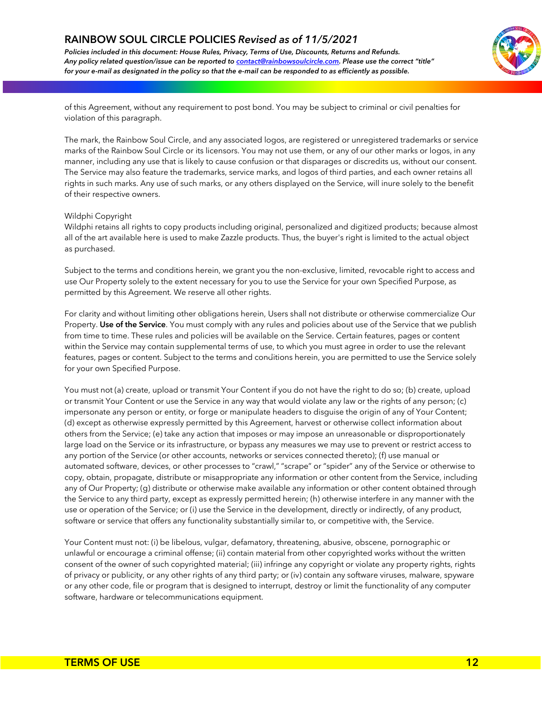*Policies included in this document: House Rules, Privacy, Terms of Use, Discounts, Returns and Refunds. Any policy related question/issue can be reported to contact@rainbowsoulcircle.com. Please use the correct "title" for your e-mail as designated in the policy so that the e-mail can be responded to as efficiently as possible.*



of this Agreement, without any requirement to post bond. You may be subject to criminal or civil penalties for violation of this paragraph.

The mark, the Rainbow Soul Circle, and any associated logos, are registered or unregistered trademarks or service marks of the Rainbow Soul Circle or its licensors. You may not use them, or any of our other marks or logos, in any manner, including any use that is likely to cause confusion or that disparages or discredits us, without our consent. The Service may also feature the trademarks, service marks, and logos of third parties, and each owner retains all rights in such marks. Any use of such marks, or any others displayed on the Service, will inure solely to the benefit of their respective owners.

#### Wildphi Copyright

Wildphi retains all rights to copy products including original, personalized and digitized products; because almost all of the art available here is used to make Zazzle products. Thus, the buyer's right is limited to the actual object as purchased.

Subject to the terms and conditions herein, we grant you the non-exclusive, limited, revocable right to access and use Our Property solely to the extent necessary for you to use the Service for your own Specified Purpose, as permitted by this Agreement. We reserve all other rights.

For clarity and without limiting other obligations herein, Users shall not distribute or otherwise commercialize Our Property. **Use of the Service**. You must comply with any rules and policies about use of the Service that we publish from time to time. These rules and policies will be available on the Service. Certain features, pages or content within the Service may contain supplemental terms of use, to which you must agree in order to use the relevant within the service may contain supplemental terms or use, to which you must agree in order to use the relevant<br>features, pages or content. Subject to the terms and conditions herein, you are permitted to use the Service so for your own Specified Purpose.

You must not (a) create, upload or transmit Your Content if you do not have the right to do so; (b) create, upload or transmit Your Content or use the Service in any way that would violate any law or the rights of any person; (c) impersonate any person or entity, or forge or manipulate headers to disguise the origin of any of Your Content; (d) except as otherwise expressly permitted by this Agreement, harvest or otherwise collect information about others from the Service; (e) take any action that imposes or may impose an unreasonable or disproportionately large load on the Service or its infrastructure, or bypass any measures we may use to prevent or restrict access to any portion of the Service (or other accounts, networks or services connected thereto); (f) use manual or automated software, devices, or other processes to "crawl," "scrape" or "spider" any of the Service or otherwise to copy, obtain, propagate, distribute or misappropriate any information or other content from the Service, including any of Our Property; (g) distribute or otherwise make available any information or other content obtained through the Service to any third party, except as expressly permitted herein; (h) otherwise interfere in any manner with the use or operation of the Service; or (i) use the Service in the development, directly or indirectly, of any product, software or service that offers any functionality substantially similar to, or competitive with, the Service.

Your Content must not: (i) be libelous, vulgar, defamatory, threatening, abusive, obscene, pornographic or unlawful or encourage a criminal offense; (ii) contain material from other copyrighted works without the written consent of the owner of such copyrighted material; (iii) infringe any copyright or violate any property rights, rights of privacy or publicity, or any other rights of any third party; or (iv) contain any software viruses, malware, spyware or any other code, file or program that is designed to interrupt, destroy or limit the functionality of any computer software, hardware or telecommunications equipment.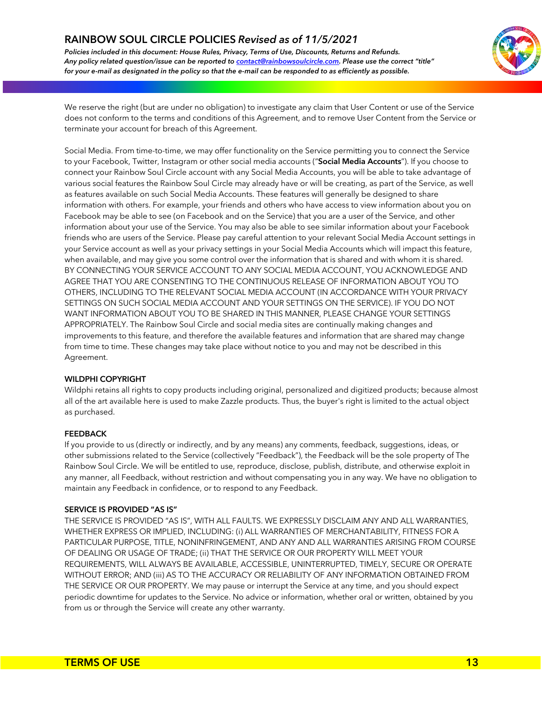*Policies included in this document: House Rules, Privacy, Terms of Use, Discounts, Returns and Refunds. Any policy related question/issue can be reported to contact@rainbowsoulcircle.com. Please use the correct "title" for your e-mail as designated in the policy so that the e-mail can be responded to as efficiently as possible.*



We reserve the right (but are under no obligation) to investigate any claim that User Content or use of the Service does not conform to the terms and conditions of this Agreement, and to remove User Content from the Service or terminate your account for breach of this Agreement.

Social Media. From time-to-time, we may offer functionality on the Service permitting you to connect the Service to your Facebook, Twitter, Instagram or other social media accounts ("**Social Media Accounts**"). If you choose to connect your Rainbow Soul Circle account with any Social Media Accounts, you will be able to take advantage of various social features the Rainbow Soul Circle may already have or will be creating, as part of the Service, as well as features available on such Social Media Accounts. These features will generally be designed to share information with others. For example, your friends and others who have access to view information about you on Facebook may be able to see (on Facebook and on the Service) that you are a user of the Service, and other information about your use of the Service. You may also be able to see similar information about your Facebook friends who are users of the Service. Please pay careful attention to your relevant Social Media Account settings in your Service account as well as your privacy settings in your Social Media Accounts which will impact this feature, when available, and may give you some control over the information that is shared and with whom it is shared. BY CONNECTING YOUR SERVICE ACCOUNT TO ANY SOCIAL MEDIA ACCOUNT, YOU ACKNOWLEDGE AND AGREE THAT YOU ARE CONSENTING TO THE CONTINUOUS RELEASE OF INFORMATION ABOUT YOU TO OTHERS, INCLUDING TO THE RELEVANT SOCIAL MEDIA ACCOUNT (IN ACCORDANCE WITH YOUR PRIVACY SETTINGS ON SUCH SOCIAL MEDIA ACCOUNT AND YOUR SETTINGS ON THE SERVICE). IF YOU DO NOT WANT INFORMATION ABOUT YOU TO BE SHARED IN THIS MANNER, PLEASE CHANGE YOUR SETTINGS APPROPRIATELY. The Rainbow Soul Circle and social media sites are continually making changes and improvements to this feature, and therefore the available features and information that are shared may change from time to time. These changes may take place without notice to you and may not be described in this \_Agreement.

## **WILDPHI COPYRIGHT**

Wildphi retains all rights to copy products including original, personalized and digitized products; because almost all of the art available here is used to make Zazzle products. Thus, the buyer's right is limited to the actual object as purchased.

## **FEEDBACK**

If you provide to us (directly or indirectly, and by any means) any comments, feedback, suggestions, ideas, or other submissions related to the Service (collectively "Feedback"), the Feedback will be the sole property of The Rainbow Soul Circle. We will be entitled to use, reproduce, disclose, publish, distribute, and otherwise exploit in any manner, all Feedback, without restriction and without compensating you in any way. We have no obligation to maintain any Feedback in confidence, or to respond to any Feedback.

## **SERVICE IS PROVIDED "AS IS"**

THE SERVICE IS PROVIDED "AS IS", WITH ALL FAULTS. WE EXPRESSLY DISCLAIM ANY AND ALL WARRANTIES, WHETHER EXPRESS OR IMPLIED, INCLUDING: (i) ALL WARRANTIES OF MERCHANTABILITY, FITNESS FOR A PARTICULAR PURPOSE, TITLE, NONINFRINGEMENT, AND ANY AND ALL WARRANTIES ARISING FROM COURSE OF DEALING OR USAGE OF TRADE; (ii) THAT THE SERVICE OR OUR PROPERTY WILL MEET YOUR REQUIREMENTS, WILL ALWAYS BE AVAILABLE, ACCESSIBLE, UNINTERRUPTED, TIMELY, SECURE OR OPERATE WITHOUT ERROR; AND (iii) AS TO THE ACCURACY OR RELIABILITY OF ANY INFORMATION OBTAINED FROM THE SERVICE OR OUR PROPERTY. We may pause or interrupt the Service at any time, and you should expect periodic downtime for updates to the Service. No advice or information, whether oral or written, obtained by you from us or through the Service will create any other warranty.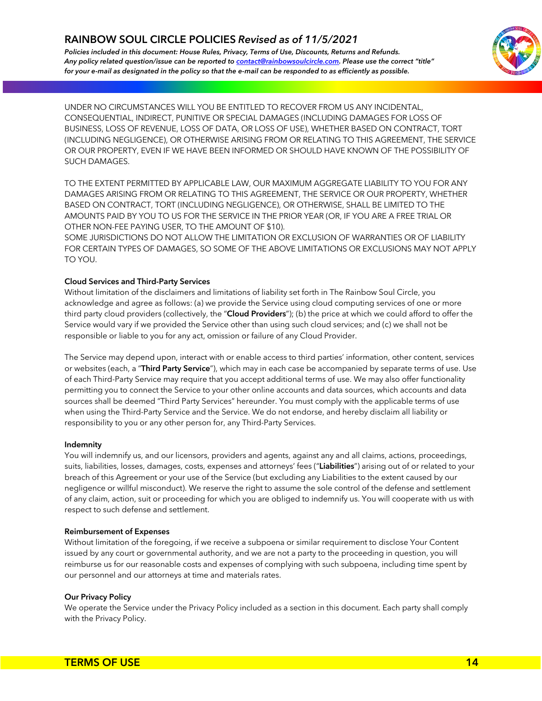*Policies included in this document: House Rules, Privacy, Terms of Use, Discounts, Returns and Refunds. Any policy related question/issue can be reported to contact@rainbowsoulcircle.com. Please use the correct "title" for your e-mail as designated in the policy so that the e-mail can be responded to as efficiently as possible.*



UNDER NO CIRCUMSTANCES WILL YOU BE ENTITLED TO RECOVER FROM US ANY INCIDENTAL, CONSEQUENTIAL, INDIRECT, PUNITIVE OR SPECIAL DAMAGES (INCLUDING DAMAGES FOR LOSS OF BUSINESS, LOSS OF REVENUE, LOSS OF DATA, OR LOSS OF USE), WHETHER BASED ON CONTRACT, TORT (INCLUDING NEGLIGENCE), OR OTHERWISE ARISING FROM OR RELATING TO THIS AGREEMENT, THE SERVICE OR OUR PROPERTY, EVEN IF WE HAVE BEEN INFORMED OR SHOULD HAVE KNOWN OF THE POSSIBILITY OF SUCH DAMAGES.

TO THE EXTENT PERMITTED BY APPLICABLE LAW, OUR MAXIMUM AGGREGATE LIABILITY TO YOU FOR ANY DAMAGES ARISING FROM OR RELATING TO THIS AGREEMENT, THE SERVICE OR OUR PROPERTY, WHETHER BASED ON CONTRACT, TORT (INCLUDING NEGLIGENCE), OR OTHERWISE, SHALL BE LIMITED TO THE AMOUNTS PAID BY YOU TO US FOR THE SERVICE IN THE PRIOR YEAR (OR, IF YOU ARE A FREE TRIAL OR OTHER NON-FEE PAYING USER, TO THE AMOUNT OF \$10).

SOME JURISDICTIONS DO NOT ALLOW THE LIMITATION OR EXCLUSION OF WARRANTIES OR OF LIABILITY FOR CERTAIN TYPES OF DAMAGES, SO SOME OF THE ABOVE LIMITATIONS OR EXCLUSIONS MAY NOT APPLY TO YOU.

## **Cloud Services and Third-Party Services**

Without limitation of the disclaimers and limitations of liability set forth in The Rainbow Soul Circle, you acknowledge and agree as follows: (a) we provide the Service using cloud computing services of one or more third party cloud providers (collectively, the "**Cloud Providers**"); (b) the price at which we could afford to offer the Service would vary if we provided the Service other than using such cloud services; and (c) we shall not be responsible or liable to you for any act, omission or failure of any Cloud Provider.

The Service may depend upon, interact with or enable access to third parties' information, other content, services \_ or websites (each, a "**Third Party Service**"), which may in each case be accompanied by separate terms of use. Use of each Third-Party Service may require that you accept additional terms of use. We may also offer functionality permitting you to connect the Service to your other online accounts and data sources, which accounts and data sources shall be deemed "Third Party Services" hereunder. You must comply with the applicable terms of use when using the Third-Party Service and the Service. We do not endorse, and hereby disclaim all liability or responsibility to you or any other person for, any Third-Party Services.

## **Indemnity**

You will indemnify us, and our licensors, providers and agents, against any and all claims, actions, proceedings, suits, liabilities, losses, damages, costs, expenses and attorneys' fees ("**Liabilities**") arising out of or related to your breach of this Agreement or your use of the Service (but excluding any Liabilities to the extent caused by our negligence or willful misconduct). We reserve the right to assume the sole control of the defense and settlement of any claim, action, suit or proceeding for which you are obliged to indemnify us. You will cooperate with us with respect to such defense and settlement.

## **Reimbursement of Expenses**

Without limitation of the foregoing, if we receive a subpoena or similar requirement to disclose Your Content issued by any court or governmental authority, and we are not a party to the proceeding in question, you will reimburse us for our reasonable costs and expenses of complying with such subpoena, including time spent by our personnel and our attorneys at time and materials rates.

## **Our Privacy Policy**

We operate the Service under the Privacy Policy included as a section in this document. Each party shall comply with the Privacy Policy.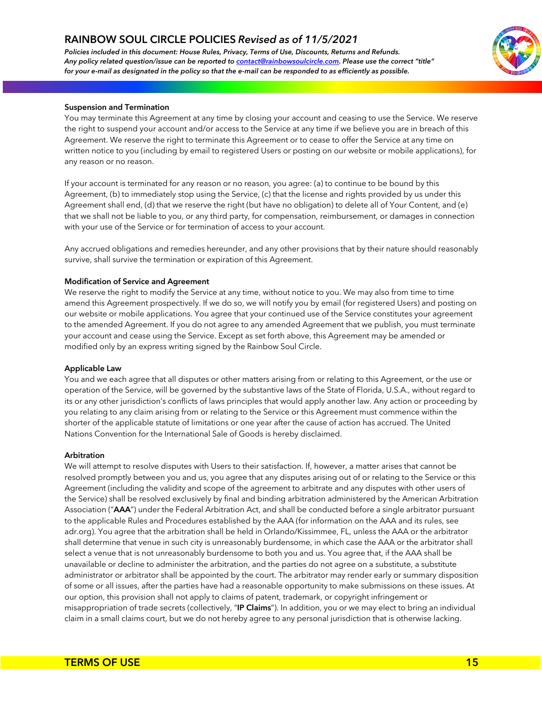*Policies included in this document: House Rules, Privacy, Terms of Use, Discounts, Returns and Refunds. Any policy related question/issue can be reported to contact@rainbowsoulcircle.com. Please use the correct "title" for your e-mail as designated in the policy so that the e-mail can be responded to as efficiently as possible.*



#### **Suspension and Termination**

You may terminate this Agreement at any time by closing your account and ceasing to use the Service. We reserve the right to suspend your account and/or access to the Service at any time if we believe you are in breach of this Agreement. We reserve the right to terminate this Agreement or to cease to offer the Service at any time on written notice to you (including by email to registered Users or posting on our website or mobile applications), for any reason or no reason.

If your account is terminated for any reason or no reason, you agree: (a) to continue to be bound by this Agreement, (b) to immediately stop using the Service, (c) that the license and rights provided by us under this Agreement shall end, (d) that we reserve the right (but have no obligation) to delete all of Your Content, and (e) that we shall not be liable to you, or any third party, for compensation, reimbursement, or damages in connection with your use of the Service or for termination of access to your account.

Any accrued obligations and remedies hereunder, and any other provisions that by their nature should reasonably survive, shall survive the termination or expiration of this Agreement.

#### **Modification of Service and Agreement**

We reserve the right to modify the Service at any time, without notice to you. We may also from time to time amend this Agreement prospectively. If we do so, we will notify you by email (for registered Users) and posting on our website or mobile applications. You agree that your continued use of the Service constitutes your agreement to the amended Agreement. If you do not agree to any amended Agreement that we publish, you must terminate your account and cease using the Service. Except as set forth above, this Agreement may be amended or modified only by an express writing signed by the Rainbow Soul Circle. \_

#### **Applicable Law**

You and we each agree that all disputes or other matters arising from or relating to this Agreement, or the use or operation of the Service, will be governed by the substantive laws of the State of Florida, U.S.A., without regard to its or any other jurisdiction's conflicts of laws principles that would apply another law. Any action or proceeding by you relating to any claim arising from or relating to the Service or this Agreement must commence within the shorter of the applicable statute of limitations or one year after the cause of action has accrued. The United Nations Convention for the International Sale of Goods is hereby disclaimed.

#### **Arbitration**

We will attempt to resolve disputes with Users to their satisfaction. If, however, a matter arises that cannot be resolved promptly between you and us, you agree that any disputes arising out of or relating to the Service or this Agreement (including the validity and scope of the agreement to arbitrate and any disputes with other users of the Service) shall be resolved exclusively by final and binding arbitration administered by the American Arbitration Association ("**AAA**") under the Federal Arbitration Act, and shall be conducted before a single arbitrator pursuant to the applicable Rules and Procedures established by the AAA (for information on the AAA and its rules, see adr.org). You agree that the arbitration shall be held in Orlando/Kissimmee, FL, unless the AAA or the arbitrator shall determine that venue in such city is unreasonably burdensome, in which case the AAA or the arbitrator shall select a venue that is not unreasonably burdensome to both you and us. You agree that, if the AAA shall be unavailable or decline to administer the arbitration, and the parties do not agree on a substitute, a substitute administrator or arbitrator shall be appointed by the court. The arbitrator may render early or summary disposition of some or all issues, after the parties have had a reasonable opportunity to make submissions on these issues. At our option, this provision shall not apply to claims of patent, trademark, or copyright infringement or misappropriation of trade secrets (collectively, "**IP Claims**"). In addition, you or we may elect to bring an individual claim in a small claims court, but we do not hereby agree to any personal jurisdiction that is otherwise lacking.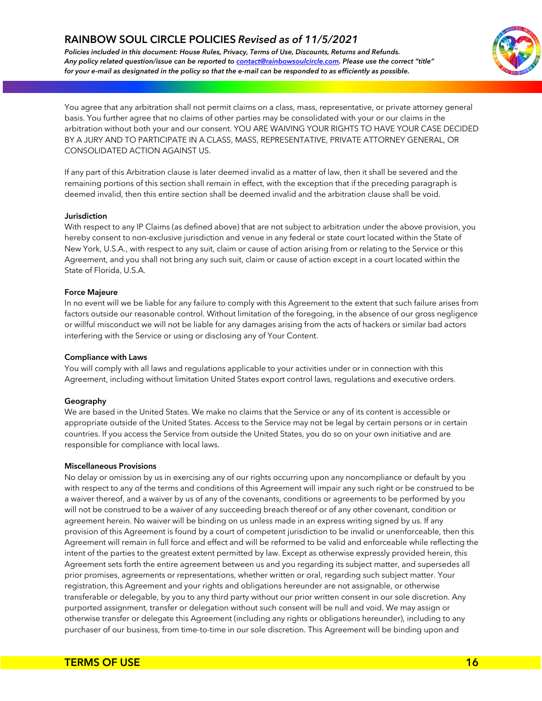*Policies included in this document: House Rules, Privacy, Terms of Use, Discounts, Returns and Refunds. Any policy related question/issue can be reported to contact@rainbowsoulcircle.com. Please use the correct "title" for your e-mail as designated in the policy so that the e-mail can be responded to as efficiently as possible.*



You agree that any arbitration shall not permit claims on a class, mass, representative, or private attorney general basis. You further agree that no claims of other parties may be consolidated with your or our claims in the arbitration without both your and our consent. YOU ARE WAIVING YOUR RIGHTS TO HAVE YOUR CASE DECIDED BY A JURY AND TO PARTICIPATE IN A CLASS, MASS, REPRESENTATIVE, PRIVATE ATTORNEY GENERAL, OR CONSOLIDATED ACTION AGAINST US.

If any part of this Arbitration clause is later deemed invalid as a matter of law, then it shall be severed and the remaining portions of this section shall remain in effect, with the exception that if the preceding paragraph is deemed invalid, then this entire section shall be deemed invalid and the arbitration clause shall be void.

#### **Jurisdiction**

With respect to any IP Claims (as defined above) that are not subject to arbitration under the above provision, you hereby consent to non-exclusive jurisdiction and venue in any federal or state court located within the State of New York, U.S.A., with respect to any suit, claim or cause of action arising from or relating to the Service or this Agreement, and you shall not bring any such suit, claim or cause of action except in a court located within the State of Florida, U.S.A.

#### **Force Majeure**

In no event will we be liable for any failure to comply with this Agreement to the extent that such failure arises from factors outside our reasonable control. Without limitation of the foregoing, in the absence of our gross negligence or willful misconduct we will not be liable for any damages arising from the acts of hackers or similar bad actors interfering with the Service or using or disclosing any of Your Content.

## **Compliance with Laws**

You will comply with all laws and regulations applicable to your activities under or in connection with this Agreement, including without limitation United States export control laws, regulations and executive orders.

## **Geography**

We are based in the United States. We make no claims that the Service or any of its content is accessible or appropriate outside of the United States. Access to the Service may not be legal by certain persons or in certain countries. If you access the Service from outside the United States, you do so on your own initiative and are responsible for compliance with local laws.

#### **Miscellaneous Provisions**

No delay or omission by us in exercising any of our rights occurring upon any noncompliance or default by you with respect to any of the terms and conditions of this Agreement will impair any such right or be construed to be a waiver thereof, and a waiver by us of any of the covenants, conditions or agreements to be performed by you will not be construed to be a waiver of any succeeding breach thereof or of any other covenant, condition or agreement herein. No waiver will be binding on us unless made in an express writing signed by us. If any provision of this Agreement is found by a court of competent jurisdiction to be invalid or unenforceable, then this Agreement will remain in full force and effect and will be reformed to be valid and enforceable while reflecting the intent of the parties to the greatest extent permitted by law. Except as otherwise expressly provided herein, this Agreement sets forth the entire agreement between us and you regarding its subject matter, and supersedes all prior promises, agreements or representations, whether written or oral, regarding such subject matter. Your registration, this Agreement and your rights and obligations hereunder are not assignable, or otherwise transferable or delegable, by you to any third party without our prior written consent in our sole discretion. Any purported assignment, transfer or delegation without such consent will be null and void. We may assign or otherwise transfer or delegate this Agreement (including any rights or obligations hereunder), including to any purchaser of our business, from time-to-time in our sole discretion. This Agreement will be binding upon and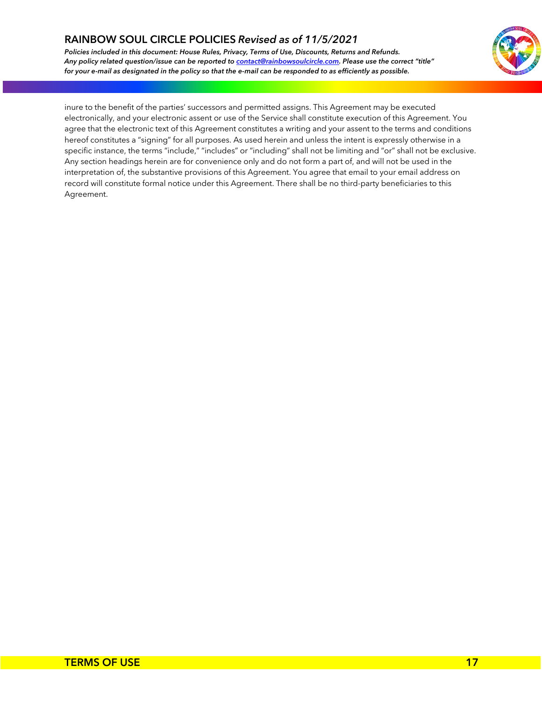*Policies included in this document: House Rules, Privacy, Terms of Use, Discounts, Returns and Refunds. Any policy related question/issue can be reported to contact@rainbowsoulcircle.com. Please use the correct "title" for your e-mail as designated in the policy so that the e-mail can be responded to as efficiently as possible.*



inure to the benefit of the parties' successors and permitted assigns. This Agreement may be executed electronically, and your electronic assent or use of the Service shall constitute execution of this Agreement. You agree that the electronic text of this Agreement constitutes a writing and your assent to the terms and conditions hereof constitutes a "signing" for all purposes. As used herein and unless the intent is expressly otherwise in a specific instance, the terms "include," "includes" or "including" shall not be limiting and "or" shall not be exclusive. Any section headings herein are for convenience only and do not form a part of, and will not be used in the interpretation of, the substantive provisions of this Agreement. You agree that email to your email address on record will constitute formal notice under this Agreement. There shall be no third-party beneficiaries to this Agreement.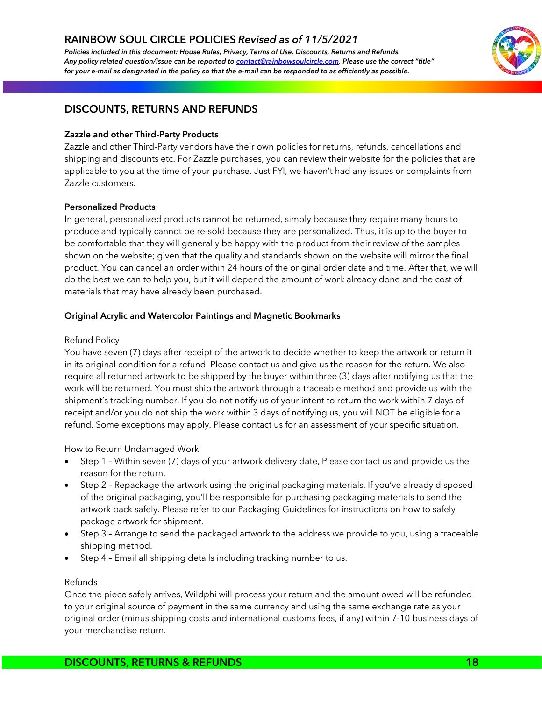*Policies included in this document: House Rules, Privacy, Terms of Use, Discounts, Returns and Refunds. Any policy related question/issue can be reported to contact@rainbowsoulcircle.com. Please use the correct "title" for your e-mail as designated in the policy so that the e-mail can be responded to as efficiently as possible.*



## **DISCOUNTS, RETURNS AND REFUNDS**

## **Zazzle and other Third-Party Products**

Zazzle and other Third-Party vendors have their own policies for returns, refunds, cancellations and shipping and discounts etc. For Zazzle purchases, you can review their website for the policies that are applicable to you at the time of your purchase. Just FYI, we haven't had any issues or complaints from Zazzle customers.

## **Personalized Products**

In general, personalized products cannot be returned, simply because they require many hours to produce and typically cannot be re-sold because they are personalized. Thus, it is up to the buyer to be comfortable that they will generally be happy with the product from their review of the samples shown on the website; given that the quality and standards shown on the website will mirror the final product. You can cancel an order within 24 hours of the original order date and time. After that, we will do the best we can to help you, but it will depend the amount of work already done and the cost of materials that may have already been purchased.

## **Original Acrylic and Watercolor Paintings and Magnetic Bookmarks**

## Refund Policy

You have seven (7) days after receipt of the artwork to decide whether to keep the artwork or return it \_in its original condition for a refund. Please contact us and give us the reason for the return. We also require all returned artwork to be shipped by the buyer within three (3) days after notifying us that the work will be returned. You must ship the artwork through a traceable method and provide us with the shipment's tracking number. If you do not notify us of your intent to return the work within 7 days of receipt and/or you do not ship the work within 3 days of notifying us, you will NOT be eligible for a refund. Some exceptions may apply. Please contact us for an assessment of your specific situation.

How to Return Undamaged Work

- Step 1 Within seven (7) days of your artwork delivery date, Please contact us and provide us the reason for the return.
- Step 2 Repackage the artwork using the original packaging materials. If you've already disposed of the original packaging, you'll be responsible for purchasing packaging materials to send the artwork back safely. Please refer to our Packaging Guidelines for instructions on how to safely package artwork for shipment.
- Step 3 Arrange to send the packaged artwork to the address we provide to you, using a traceable shipping method.
- Step 4 Email all shipping details including tracking number to us.

## Refunds

Once the piece safely arrives, Wildphi will process your return and the amount owed will be refunded to your original source of payment in the same currency and using the same exchange rate as your original order (minus shipping costs and international customs fees, if any) within 7-10 business days of your merchandise return.